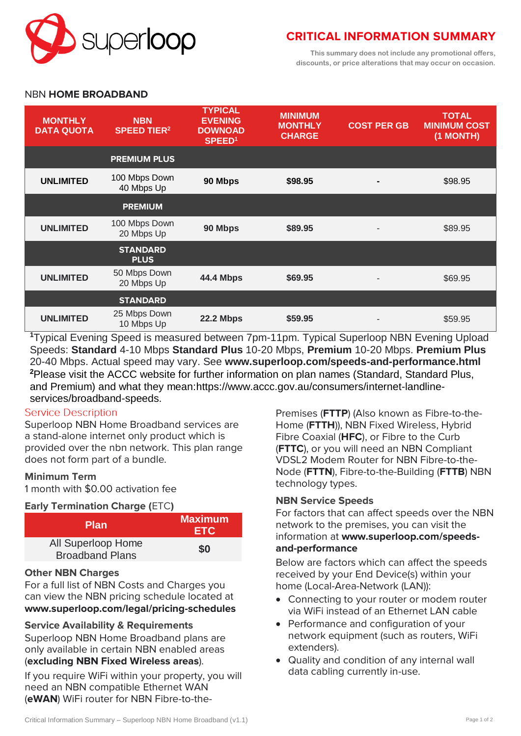

# **CRITICAL INFORMATION SUMMARY**

**This summary does not include any promotional offers, discounts, or price alterations that may occur on occasion.**

# NBN **HOME BROADBAND**

| <b>MONTHLY</b><br><b>DATA QUOTA</b> | <b>NBN</b><br><b>SPEED TIER<sup>2</sup></b> | <b>TYPICAL</b><br><b>EVENING</b><br><b>DOWNOAD</b><br>SPEED <sup>1</sup> | <b>MINIMUM</b><br><b>MONTHLY</b><br><b>CHARGE</b> | <b>COST PER GB</b> | <b>TOTAL</b><br><b>MINIMUM COST</b><br>(1 MONTH) |
|-------------------------------------|---------------------------------------------|--------------------------------------------------------------------------|---------------------------------------------------|--------------------|--------------------------------------------------|
|                                     | <b>PREMIUM PLUS</b>                         |                                                                          |                                                   |                    |                                                  |
| <b>UNLIMITED</b>                    | 100 Mbps Down<br>40 Mbps Up                 | 90 Mbps                                                                  | \$98.95                                           |                    | \$98.95                                          |
|                                     | <b>PREMIUM</b>                              |                                                                          |                                                   |                    |                                                  |
| <b>UNLIMITED</b>                    | 100 Mbps Down<br>20 Mbps Up                 | 90 Mbps                                                                  | \$89.95                                           |                    | \$89.95                                          |
|                                     | <b>STANDARD</b><br><b>PLUS</b>              |                                                                          |                                                   |                    |                                                  |
| <b>UNLIMITED</b>                    | 50 Mbps Down<br>20 Mbps Up                  | <b>44.4 Mbps</b>                                                         | \$69.95                                           |                    | \$69.95                                          |
|                                     | <b>STANDARD</b>                             |                                                                          |                                                   |                    |                                                  |
| <b>UNLIMITED</b>                    | 25 Mbps Down<br>10 Mbps Up                  | <b>22.2 Mbps</b>                                                         | \$59.95                                           |                    | \$59.95                                          |

**<sup>1</sup>**Typical Evening Speed is measured between 7pm-11pm. Typical Superloop NBN Evening Upload Speeds: **Standard** 4-10 Mbps **Standard Plus** 10-20 Mbps, **Premium** 10-20 Mbps. **Premium Plus** 20-40 Mbps. Actual speed may vary. See **[www.superloop.com/speeds-and-performance.](https://www.superloop.com/speeds-and-performance.html)html <sup>2</sup>**Please visit the ACCC website for further information on plan names (Standard, Standard Plus, and Premium) and what they mean:https://www.accc.gov.au/consumers/internet-landlineservices/broadband-speeds.

# **Service Description**

Superloop NBN Home Broadband services are a stand-alone internet only product which is provided over the nbn network. This plan range does not form part of a bundle.

# **Minimum Term**

1 month with \$0.00 activation fee

# **Early Termination Charge (**ETC**)**

| <b>Plan</b>                                  | <b>Maximum</b><br><b>ETC</b> |  |
|----------------------------------------------|------------------------------|--|
| All Superloop Home<br><b>Broadband Plans</b> | \$0                          |  |

# **Other NBN Charges**

For a full list of NBN Costs and Charges you can view the NBN pricing schedule located at **[www.superloop.com/legal/pricing-schedules](https://www.superloop.com/legal/pricing-schedules.html)**

# **Service Availability & Requirements**

Superloop NBN Home Broadband plans are only available in certain NBN enabled areas (*excluding NBN Fixed Wireless areas*).

If you require WiFi within your property, you will need an NBN compatible Ethernet WAN (**eWAN**) WiFi router for NBN Fibre-to-thePremises (**FTTP**) (Also known as Fibre-to-the-Home (**FTTH**)), NBN Fixed Wireless, Hybrid Fibre Coaxial (**HFC**), or Fibre to the Curb (**FTTC**), or you will need an NBN Compliant VDSL2 Modem Router for NBN Fibre-to-the-Node (**FTTN**), Fibre-to-the-Building (**FTTB**) NBN technology types.

# **NBN Service Speeds**

For factors that can affect speeds over the NBN network to the premises, you can visit the information at **[www.superloop.com/speeds](https://www.superloop.com/speeds-and-performance.html)[and-performance](https://www.superloop.com/speeds-and-performance.html)**

Below are factors which can affect the speeds received by your End Device(s) within your home (Local-Area-Network (LAN)):

- Connecting to your router or modem router via WiFi instead of an Ethernet LAN cable
- Performance and configuration of your network equipment (such as routers, WiFi extenders).
- Quality and condition of any internal wall data cabling currently in-use.